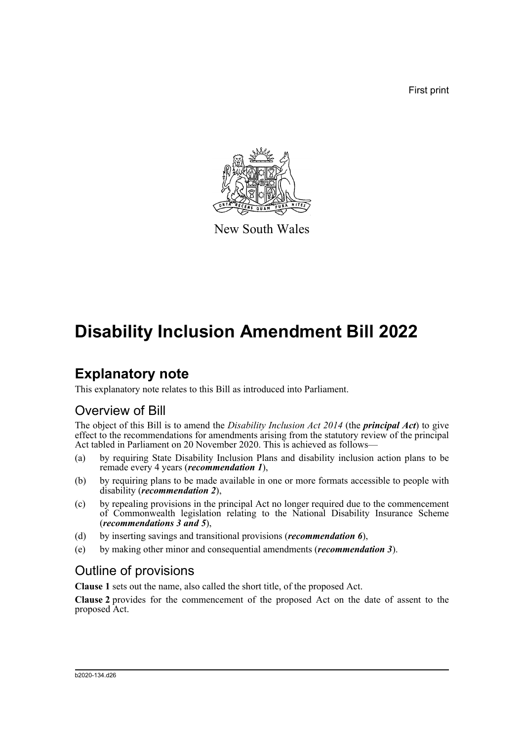First print



New South Wales

# **Disability Inclusion Amendment Bill 2022**

# **Explanatory note**

This explanatory note relates to this Bill as introduced into Parliament.

## Overview of Bill

The object of this Bill is to amend the *Disability Inclusion Act 2014* (the *principal Act*) to give effect to the recommendations for amendments arising from the statutory review of the principal Act tabled in Parliament on 20 November 2020. This is achieved as follows—

- (a) by requiring State Disability Inclusion Plans and disability inclusion action plans to be remade every 4 years (*recommendation 1*),
- (b) by requiring plans to be made available in one or more formats accessible to people with disability (*recommendation 2*),
- (c) by repealing provisions in the principal Act no longer required due to the commencement of Commonwealth legislation relating to the National Disability Insurance Scheme (*recommendations 3 and 5*),
- (d) by inserting savings and transitional provisions (*recommendation 6*),
- (e) by making other minor and consequential amendments (*recommendation 3*).

## Outline of provisions

**Clause 1** sets out the name, also called the short title, of the proposed Act.

**Clause 2** provides for the commencement of the proposed Act on the date of assent to the proposed Act.

#### b2020-134.d26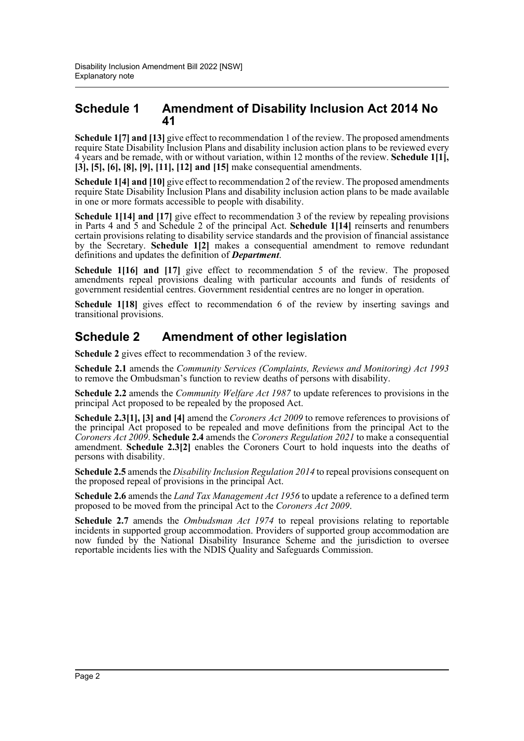### **Schedule 1 Amendment of Disability Inclusion Act 2014 No 41**

**Schedule 1[7] and [13]** give effect to recommendation 1 of the review. The proposed amendments require State Disability Inclusion Plans and disability inclusion action plans to be reviewed every 4 years and be remade, with or without variation, within 12 months of the review. **Schedule 1[1], [3], [5], [6], [8], [9], [11], [12] and [15]** make consequential amendments.

**Schedule 1[4] and [10]** give effect to recommendation 2 of the review. The proposed amendments require State Disability Inclusion Plans and disability inclusion action plans to be made available in one or more formats accessible to people with disability.

**Schedule 1[14] and [17]** give effect to recommendation 3 of the review by repealing provisions in Parts 4 and 5 and Schedule 2 of the principal Act. **Schedule 1[14]** reinserts and renumbers certain provisions relating to disability service standards and the provision of financial assistance by the Secretary. **Schedule 1[2]** makes a consequential amendment to remove redundant definitions and updates the definition of *Department*.

**Schedule 1[16] and [17]** give effect to recommendation 5 of the review. The proposed amendments repeal provisions dealing with particular accounts and funds of residents of government residential centres. Government residential centres are no longer in operation.

**Schedule 1[18]** gives effect to recommendation 6 of the review by inserting savings and transitional provisions.

## **Schedule 2 Amendment of other legislation**

**Schedule 2** gives effect to recommendation 3 of the review.

**Schedule 2.1** amends the *Community Services (Complaints, Reviews and Monitoring) Act 1993* to remove the Ombudsman's function to review deaths of persons with disability.

**Schedule 2.2** amends the *Community Welfare Act 1987* to update references to provisions in the principal Act proposed to be repealed by the proposed Act.

**Schedule 2.3[1], [3] and [4]** amend the *Coroners Act 2009* to remove references to provisions of the principal Act proposed to be repealed and move definitions from the principal Act to the *Coroners Act 2009*. **Schedule 2.4** amends the *Coroners Regulation 2021* to make a consequential amendment. **Schedule 2.3[2]** enables the Coroners Court to hold inquests into the deaths of persons with disability.

**Schedule 2.5** amends the *Disability Inclusion Regulation 2014* to repeal provisions consequent on the proposed repeal of provisions in the principal Act.

**Schedule 2.6** amends the *Land Tax Management Act 1956* to update a reference to a defined term proposed to be moved from the principal Act to the *Coroners Act 2009*.

**Schedule 2.7** amends the *Ombudsman Act 1974* to repeal provisions relating to reportable incidents in supported group accommodation. Providers of supported group accommodation are now funded by the National Disability Insurance Scheme and the jurisdiction to oversee reportable incidents lies with the NDIS Quality and Safeguards Commission.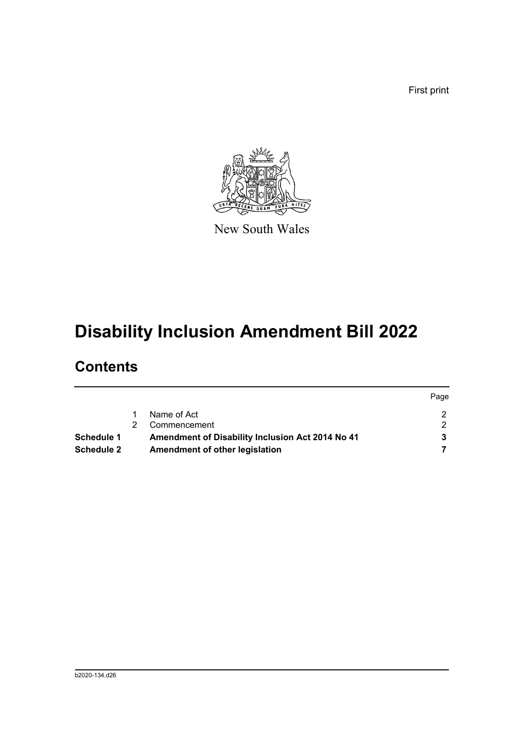First print



New South Wales

# **Disability Inclusion Amendment Bill 2022**

# **Contents**

|                   |                                                  | Page |
|-------------------|--------------------------------------------------|------|
|                   | Name of Act                                      |      |
|                   | Commencement                                     |      |
| Schedule 1        | Amendment of Disability Inclusion Act 2014 No 41 |      |
| <b>Schedule 2</b> | Amendment of other legislation                   |      |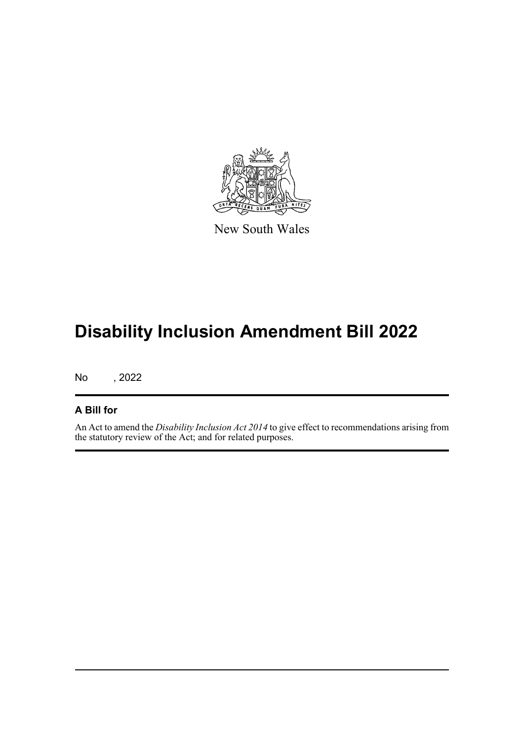

New South Wales

# **Disability Inclusion Amendment Bill 2022**

No , 2022

### **A Bill for**

An Act to amend the *Disability Inclusion Act 2014* to give effect to recommendations arising from the statutory review of the Act; and for related purposes.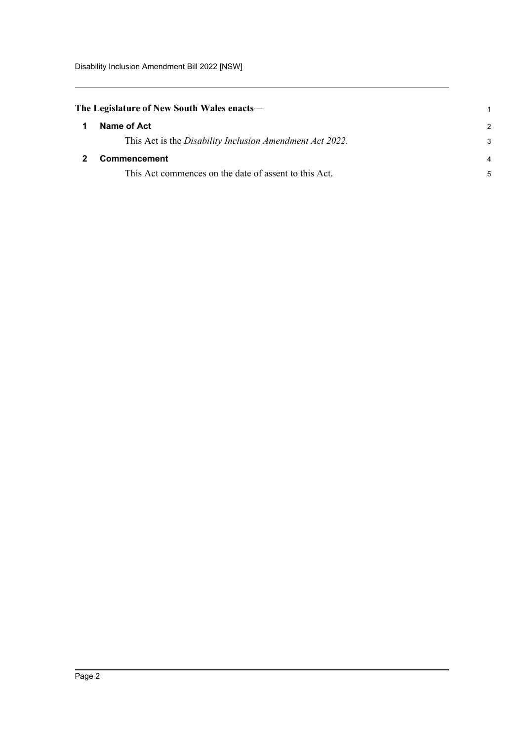<span id="page-4-1"></span><span id="page-4-0"></span>

|                | The Legislature of New South Wales enacts—               |  |  |  |
|----------------|----------------------------------------------------------|--|--|--|
| $\mathbf 1$    | Name of Act                                              |  |  |  |
|                | This Act is the Disability Inclusion Amendment Act 2022. |  |  |  |
| $\overline{2}$ | <b>Commencement</b>                                      |  |  |  |
|                | This Act commences on the date of assent to this Act.    |  |  |  |

1 2 3

4 5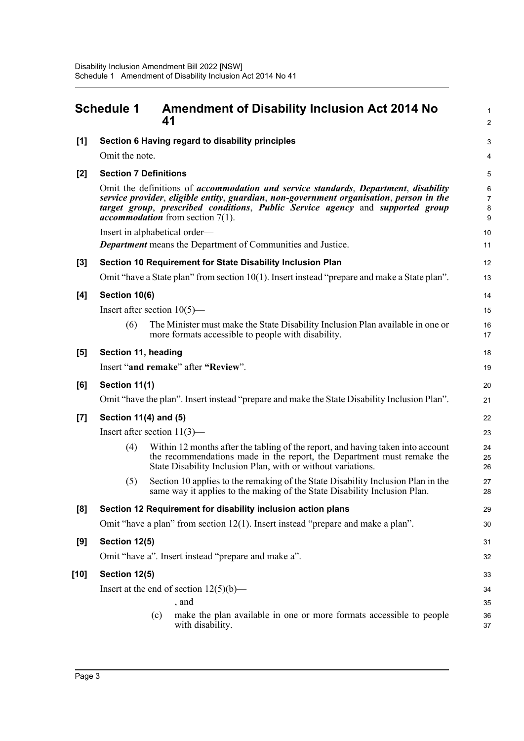<span id="page-5-0"></span>

|                  | <b>Schedule 1</b>            | <b>Amendment of Disability Inclusion Act 2014 No</b><br>41                                                                                                                                                                                                                                                     | $\mathbf{1}$<br>2                   |
|------------------|------------------------------|----------------------------------------------------------------------------------------------------------------------------------------------------------------------------------------------------------------------------------------------------------------------------------------------------------------|-------------------------------------|
| [1]              |                              | Section 6 Having regard to disability principles                                                                                                                                                                                                                                                               | $\ensuremath{\mathsf{3}}$           |
|                  | Omit the note.               |                                                                                                                                                                                                                                                                                                                | 4                                   |
| $[2]$            | <b>Section 7 Definitions</b> |                                                                                                                                                                                                                                                                                                                | $\mathbf 5$                         |
|                  |                              | Omit the definitions of accommodation and service standards, Department, disability<br>service provider, eligible entity, guardian, non-government organisation, person in the<br>target group, prescribed conditions, Public Service agency and supported group<br><i>accommodation</i> from section $7(1)$ . | $\,6\,$<br>$\overline{7}$<br>8<br>9 |
|                  |                              | Insert in alphabetical order-                                                                                                                                                                                                                                                                                  | 10                                  |
|                  |                              | <b>Department</b> means the Department of Communities and Justice.                                                                                                                                                                                                                                             | 11                                  |
| $[3]$            |                              | Section 10 Requirement for State Disability Inclusion Plan                                                                                                                                                                                                                                                     | 12                                  |
|                  |                              | Omit "have a State plan" from section $10(1)$ . Insert instead "prepare and make a State plan".                                                                                                                                                                                                                | 13                                  |
| [4]              | Section 10(6)                |                                                                                                                                                                                                                                                                                                                | 14                                  |
|                  |                              | Insert after section $10(5)$ —                                                                                                                                                                                                                                                                                 | 15                                  |
|                  | (6)                          | The Minister must make the State Disability Inclusion Plan available in one or<br>more formats accessible to people with disability.                                                                                                                                                                           | 16<br>17                            |
| [5]              | Section 11, heading          |                                                                                                                                                                                                                                                                                                                | 18                                  |
|                  |                              | Insert "and remake" after "Review".                                                                                                                                                                                                                                                                            | 19                                  |
| [6]              | Section 11(1)                |                                                                                                                                                                                                                                                                                                                | 20                                  |
|                  |                              | Omit "have the plan". Insert instead "prepare and make the State Disability Inclusion Plan".                                                                                                                                                                                                                   | 21                                  |
| $\left[7\right]$ | Section 11(4) and (5)        |                                                                                                                                                                                                                                                                                                                | 22                                  |
|                  |                              | Insert after section $11(3)$ —                                                                                                                                                                                                                                                                                 | 23                                  |
|                  | (4)                          | Within 12 months after the tabling of the report, and having taken into account<br>the recommendations made in the report, the Department must remake the<br>State Disability Inclusion Plan, with or without variations.                                                                                      | 24<br>25<br>26                      |
|                  | (5)                          | Section 10 applies to the remaking of the State Disability Inclusion Plan in the<br>same way it applies to the making of the State Disability Inclusion Plan.                                                                                                                                                  | 27<br>28                            |
| [8]              |                              | Section 12 Requirement for disability inclusion action plans                                                                                                                                                                                                                                                   | 29                                  |
|                  |                              | Omit "have a plan" from section 12(1). Insert instead "prepare and make a plan".                                                                                                                                                                                                                               | 30                                  |
| [9]              | Section 12(5)                |                                                                                                                                                                                                                                                                                                                | 31                                  |
|                  |                              | Omit "have a". Insert instead "prepare and make a".                                                                                                                                                                                                                                                            | 32                                  |
| [10]             | Section 12(5)                |                                                                                                                                                                                                                                                                                                                | 33                                  |
|                  |                              | Insert at the end of section $12(5)(b)$ —                                                                                                                                                                                                                                                                      | 34                                  |
|                  |                              | , and                                                                                                                                                                                                                                                                                                          | 35                                  |
|                  |                              | make the plan available in one or more formats accessible to people<br>(c)<br>with disability.                                                                                                                                                                                                                 | 36<br>37                            |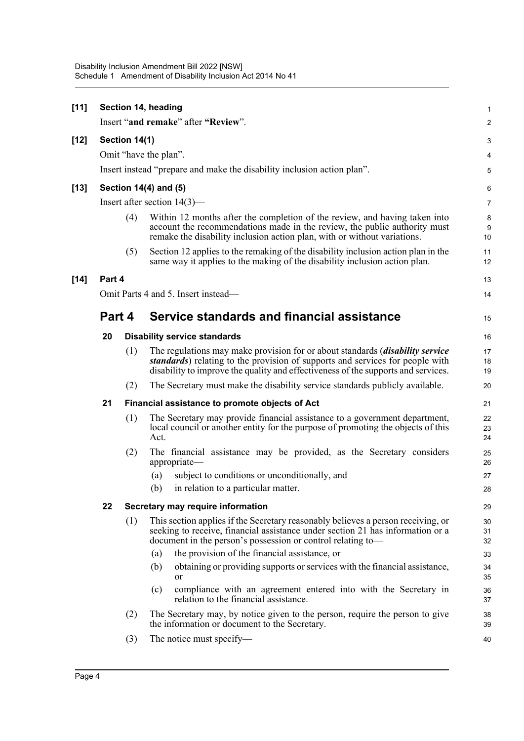| [11]   |        |               | Section 14, heading                                                                                                                                                                                                                                          | $\mathbf{1}$   |
|--------|--------|---------------|--------------------------------------------------------------------------------------------------------------------------------------------------------------------------------------------------------------------------------------------------------------|----------------|
|        |        |               | Insert "and remake" after "Review".                                                                                                                                                                                                                          | 2              |
| $[12]$ |        | Section 14(1) |                                                                                                                                                                                                                                                              | 3              |
|        |        |               | Omit "have the plan".                                                                                                                                                                                                                                        | 4              |
|        |        |               | Insert instead "prepare and make the disability inclusion action plan".                                                                                                                                                                                      | 5              |
| $[13]$ |        |               | Section 14(4) and (5)                                                                                                                                                                                                                                        | 6              |
|        |        |               | Insert after section $14(3)$ —                                                                                                                                                                                                                               | 7              |
|        |        | (4)           | Within 12 months after the completion of the review, and having taken into<br>account the recommendations made in the review, the public authority must<br>remake the disability inclusion action plan, with or without variations.                          | 8<br>9<br>10   |
|        |        | (5)           | Section 12 applies to the remaking of the disability inclusion action plan in the<br>same way it applies to the making of the disability inclusion action plan.                                                                                              | 11<br>12       |
| $[14]$ | Part 4 |               |                                                                                                                                                                                                                                                              | 13             |
|        |        |               | Omit Parts 4 and 5. Insert instead—                                                                                                                                                                                                                          | 14             |
|        | Part 4 |               | Service standards and financial assistance                                                                                                                                                                                                                   | 15             |
|        | 20     |               | <b>Disability service standards</b>                                                                                                                                                                                                                          | 16             |
|        |        | (1)           | The regulations may make provision for or about standards <i>(disability service</i> )<br>standards) relating to the provision of supports and services for people with<br>disability to improve the quality and effectiveness of the supports and services. | 17<br>18<br>19 |
|        |        | (2)           | The Secretary must make the disability service standards publicly available.                                                                                                                                                                                 | 20             |
|        | 21     |               | Financial assistance to promote objects of Act                                                                                                                                                                                                               | 21             |
|        |        | (1)           | The Secretary may provide financial assistance to a government department,<br>local council or another entity for the purpose of promoting the objects of this<br>Act.                                                                                       | 22<br>23<br>24 |
|        |        | (2)           | The financial assistance may be provided, as the Secretary considers<br>appropriate-                                                                                                                                                                         | 25<br>26       |
|        |        |               | subject to conditions or unconditionally, and<br>(a)                                                                                                                                                                                                         | 27             |
|        |        |               | (b)<br>in relation to a particular matter.                                                                                                                                                                                                                   | 28             |
|        | 22     |               | Secretary may require information                                                                                                                                                                                                                            | 29             |
|        |        | (1)           | This section applies if the Secretary reasonably believes a person receiving, or<br>seeking to receive, financial assistance under section 21 has information or a<br>document in the person's possession or control relating to-                            | 30<br>31<br>32 |
|        |        |               | the provision of the financial assistance, or<br>(a)                                                                                                                                                                                                         | 33             |
|        |        |               | obtaining or providing supports or services with the financial assistance,<br>(b)<br>or                                                                                                                                                                      | 34<br>35       |
|        |        |               | compliance with an agreement entered into with the Secretary in<br>(c)<br>relation to the financial assistance.                                                                                                                                              | 36<br>37       |
|        |        | (2)           | The Secretary may, by notice given to the person, require the person to give<br>the information or document to the Secretary.                                                                                                                                | 38<br>39       |
|        |        | (3)           | The notice must specify-                                                                                                                                                                                                                                     | 40             |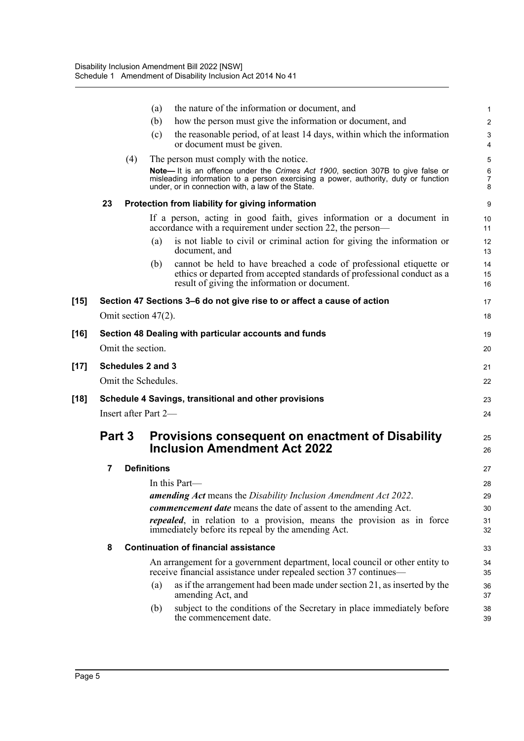|        |                      | the nature of the information or document, and<br>(a)                                                                                                                                                                      | 1              |  |
|--------|----------------------|----------------------------------------------------------------------------------------------------------------------------------------------------------------------------------------------------------------------------|----------------|--|
|        |                      | how the person must give the information or document, and<br>(b)                                                                                                                                                           | $\mathbf{2}$   |  |
|        |                      | the reasonable period, of at least 14 days, within which the information<br>(c)<br>or document must be given.                                                                                                              | 3<br>4         |  |
|        | (4)                  | The person must comply with the notice.                                                                                                                                                                                    | 5              |  |
|        |                      | Note- It is an offence under the Crimes Act 1900, section 307B to give false or<br>misleading information to a person exercising a power, authority, duty or function<br>under, or in connection with, a law of the State. | 6<br>7<br>8    |  |
|        | 23                   | Protection from liability for giving information                                                                                                                                                                           | 9              |  |
|        |                      | If a person, acting in good faith, gives information or a document in<br>accordance with a requirement under section 22, the person—                                                                                       | 10<br>11       |  |
|        |                      | is not liable to civil or criminal action for giving the information or<br>(a)<br>document, and                                                                                                                            | 12<br>13       |  |
|        |                      | cannot be held to have breached a code of professional etiquette or<br>(b)<br>ethics or departed from accepted standards of professional conduct as a<br>result of giving the information or document.                     | 14<br>15<br>16 |  |
| [15]   |                      | Section 47 Sections 3–6 do not give rise to or affect a cause of action                                                                                                                                                    | 17             |  |
|        | Omit section 47(2).  |                                                                                                                                                                                                                            | 18             |  |
| $[16]$ |                      | Section 48 Dealing with particular accounts and funds                                                                                                                                                                      | 19             |  |
|        | Omit the section.    |                                                                                                                                                                                                                            | 20             |  |
| $[17]$ | Schedules 2 and 3    |                                                                                                                                                                                                                            | 21             |  |
|        | Omit the Schedules.  |                                                                                                                                                                                                                            | 22             |  |
| [18]   |                      | Schedule 4 Savings, transitional and other provisions                                                                                                                                                                      | 23             |  |
|        | Insert after Part 2- |                                                                                                                                                                                                                            |                |  |
|        | Part 3               | <b>Provisions consequent on enactment of Disability</b><br><b>Inclusion Amendment Act 2022</b>                                                                                                                             | 25<br>26       |  |
|        | 7                    | <b>Definitions</b>                                                                                                                                                                                                         | 27             |  |
|        |                      | In this Part—                                                                                                                                                                                                              | 28             |  |
|        |                      | amending Act means the Disability Inclusion Amendment Act 2022.                                                                                                                                                            | 29             |  |
|        |                      | commencement date means the date of assent to the amending Act.                                                                                                                                                            | 30             |  |
|        |                      | <i>repealed</i> , in relation to a provision, means the provision as in force<br>immediately before its repeal by the amending Act.                                                                                        | 31<br>32       |  |
|        | 8                    | <b>Continuation of financial assistance</b>                                                                                                                                                                                | 33             |  |
|        |                      | An arrangement for a government department, local council or other entity to<br>receive financial assistance under repealed section 37 continues—                                                                          | 34<br>35       |  |
|        |                      | as if the arrangement had been made under section 21, as inserted by the<br>(a)<br>amending Act, and                                                                                                                       | 36<br>37       |  |
|        |                      | subject to the conditions of the Secretary in place immediately before<br>(b)<br>the commencement date.                                                                                                                    | 38<br>39       |  |
|        |                      |                                                                                                                                                                                                                            |                |  |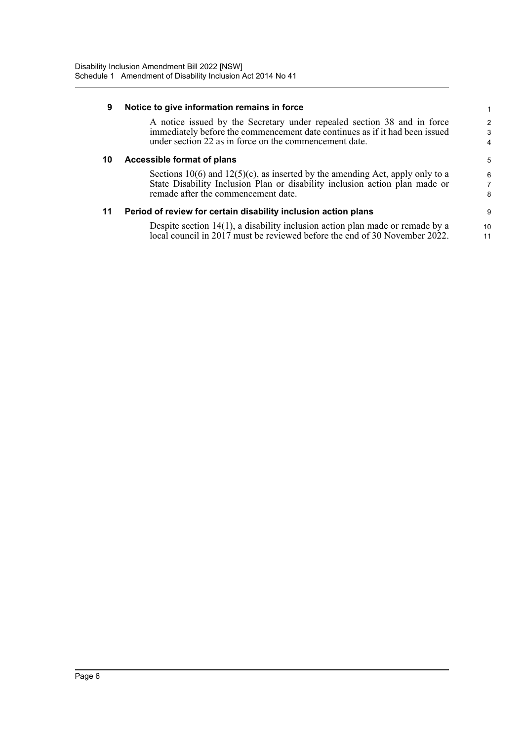| 9  | Notice to give information remains in force                                                                                                                                                                      |                          |
|----|------------------------------------------------------------------------------------------------------------------------------------------------------------------------------------------------------------------|--------------------------|
|    | A notice issued by the Secretary under repealed section 38 and in force<br>immediately before the commencement date continues as if it had been issued<br>under section 22 as in force on the commencement date. | $\overline{2}$<br>3<br>4 |
| 10 | Accessible format of plans                                                                                                                                                                                       | 5                        |
|    | Sections 10(6) and 12(5)(c), as inserted by the amending Act, apply only to a<br>State Disability Inclusion Plan or disability inclusion action plan made or<br>remade after the commencement date.              | 6<br>8                   |
|    | Period of review for certain disability inclusion action plans                                                                                                                                                   | 9                        |
|    | Despite section $14(1)$ , a disability inclusion action plan made or remade by a<br>local council in 2017 must be reviewed before the end of 30 November 2022.                                                   | 10<br>11                 |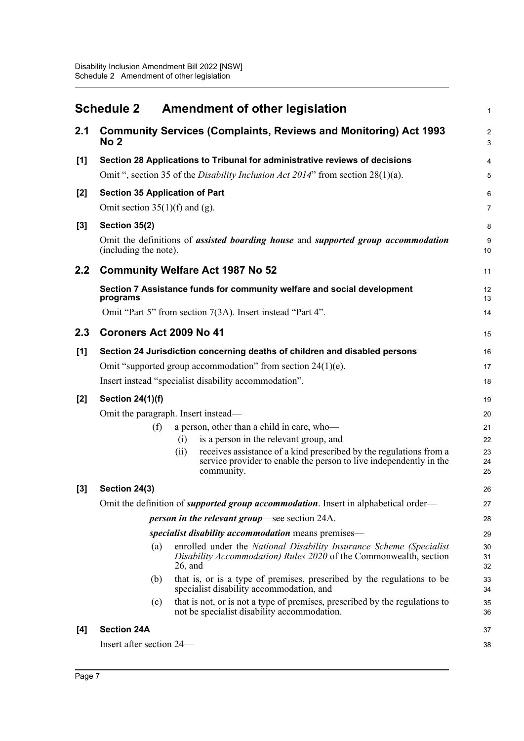<span id="page-9-0"></span>

|       | <b>Schedule 2</b>                     |            | <b>Amendment of other legislation</b>                                                                                                                  | $\mathbf 1$           |
|-------|---------------------------------------|------------|--------------------------------------------------------------------------------------------------------------------------------------------------------|-----------------------|
| 2.1   | No <sub>2</sub>                       |            | <b>Community Services (Complaints, Reviews and Monitoring) Act 1993</b>                                                                                | $\boldsymbol{2}$<br>3 |
| $[1]$ |                                       |            | Section 28 Applications to Tribunal for administrative reviews of decisions                                                                            | 4                     |
|       |                                       |            | Omit ", section 35 of the <i>Disability Inclusion Act 2014</i> " from section $28(1)(a)$ .                                                             | 5                     |
| $[2]$ | <b>Section 35 Application of Part</b> |            |                                                                                                                                                        | 6                     |
|       | Omit section $35(1)(f)$ and (g).      |            |                                                                                                                                                        | 7                     |
| $[3]$ | Section 35(2)                         |            |                                                                                                                                                        | $\bf 8$               |
|       | (including the note).                 |            | Omit the definitions of <i>assisted boarding house</i> and <i>supported group accommodation</i>                                                        | 9<br>10               |
| 2.2   |                                       |            | <b>Community Welfare Act 1987 No 52</b>                                                                                                                | 11                    |
|       | programs                              |            | Section 7 Assistance funds for community welfare and social development                                                                                | 12<br>13              |
|       |                                       |            | Omit "Part 5" from section 7(3A). Insert instead "Part 4".                                                                                             | 14                    |
| 2.3   | Coroners Act 2009 No 41               |            |                                                                                                                                                        | 15                    |
| $[1]$ |                                       |            | Section 24 Jurisdiction concerning deaths of children and disabled persons                                                                             | 16                    |
|       |                                       |            | Omit "supported group accommodation" from section 24(1)(e).                                                                                            | 17                    |
|       |                                       |            | Insert instead "specialist disability accommodation".                                                                                                  | 18                    |
| $[2]$ | <b>Section 24(1)(f)</b>               |            |                                                                                                                                                        | 19                    |
|       | Omit the paragraph. Insert instead-   |            |                                                                                                                                                        | 20                    |
|       | (f)                                   |            | a person, other than a child in care, who-                                                                                                             | 21                    |
|       |                                       | (i)        | is a person in the relevant group, and                                                                                                                 | 22                    |
|       |                                       | (ii)       | receives assistance of a kind prescribed by the regulations from a<br>service provider to enable the person to live independently in the<br>community. | 23<br>24<br>25        |
| $[3]$ | Section 24(3)                         |            |                                                                                                                                                        | 26                    |
|       |                                       |            | Omit the definition of <i>supported group accommodation</i> . Insert in alphabetical order—                                                            | 27                    |
|       |                                       |            | <i>person in the relevant group</i> —see section 24A.                                                                                                  | 28                    |
|       |                                       |            | specialist disability accommodation means premises—                                                                                                    | 29                    |
|       | (a)                                   | $26$ , and | enrolled under the National Disability Insurance Scheme (Specialist<br>Disability Accommodation) Rules 2020 of the Commonwealth, section               | 30<br>31<br>32        |
|       | (b)                                   |            | that is, or is a type of premises, prescribed by the regulations to be<br>specialist disability accommodation, and                                     | 33<br>34              |
|       | (c)                                   |            | that is not, or is not a type of premises, prescribed by the regulations to<br>not be specialist disability accommodation.                             | 35<br>36              |
| [4]   | <b>Section 24A</b>                    |            |                                                                                                                                                        | 37                    |
|       | Insert after section 24—              |            |                                                                                                                                                        | 38                    |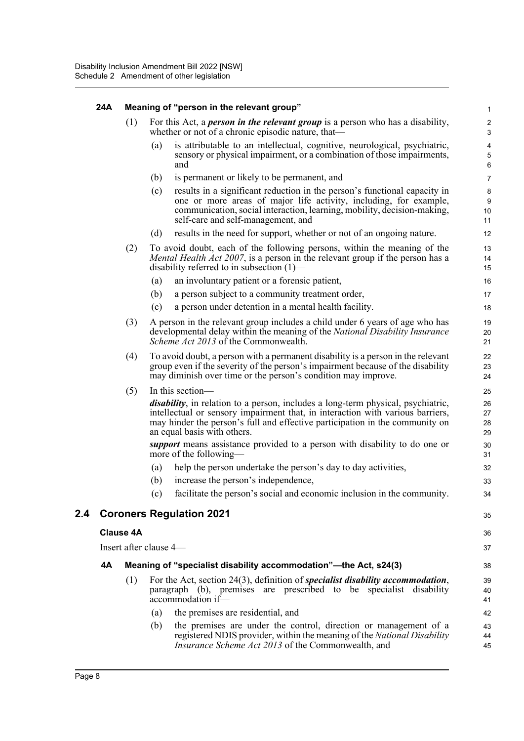#### **24A Meaning of "person in the relevant group"**

(1) For this Act, a *person in the relevant group* is a person who has a disability, whether or not of a chronic episodic nature, that—

35

36 37

- (a) is attributable to an intellectual, cognitive, neurological, psychiatric, sensory or physical impairment, or a combination of those impairments, and
- (b) is permanent or likely to be permanent, and
- (c) results in a significant reduction in the person's functional capacity in one or more areas of major life activity, including, for example, communication, social interaction, learning, mobility, decision-making, self-care and self-management, and
- (d) results in the need for support, whether or not of an ongoing nature.
- (2) To avoid doubt, each of the following persons, within the meaning of the *Mental Health Act 2007*, is a person in the relevant group if the person has a disability referred to in subsection (1)—
	- (a) an involuntary patient or a forensic patient,
	- (b) a person subject to a community treatment order,
	- (c) a person under detention in a mental health facility.
- (3) A person in the relevant group includes a child under 6 years of age who has developmental delay within the meaning of the *National Disability Insurance Scheme Act 2013* of the Commonwealth.
- (4) To avoid doubt, a person with a permanent disability is a person in the relevant group even if the severity of the person's impairment because of the disability may diminish over time or the person's condition may improve.

(5) In this section—

*disability*, in relation to a person, includes a long-term physical, psychiatric, intellectual or sensory impairment that, in interaction with various barriers, may hinder the person's full and effective participation in the community on an equal basis with others.

*support* means assistance provided to a person with disability to do one or more of the following—

- (a) help the person undertake the person's day to day activities,
- (b) increase the person's independence,
- (c) facilitate the person's social and economic inclusion in the community.

### **2.4 Coroners Regulation 2021**

#### **Clause 4A**

Insert after clause 4—

### **4A Meaning of "specialist disability accommodation"—the Act, s24(3)**

- (1) For the Act, section 24(3), definition of *specialist disability accommodation*, paragraph (b), premises are prescribed to be specialist disability accommodation if—
	- (a) the premises are residential, and
	- (b) the premises are under the control, direction or management of a registered NDIS provider, within the meaning of the *National Disability Insurance Scheme Act 2013* of the Commonwealth, and 43 44 45